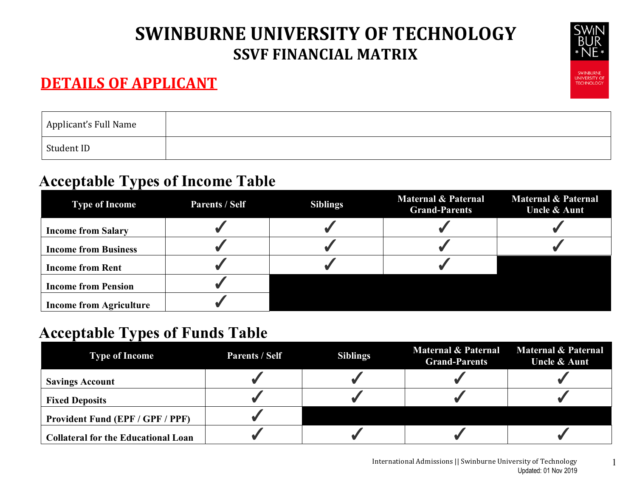#### **DETAILS OF APPLICANT**



| Applicant's Full Name |  |
|-----------------------|--|
| Student ID            |  |

#### **Acceptable Types of Income Table**

| <b>Type of Income</b>          | <b>Parents / Self</b> | <b>Siblings</b> | <b>Maternal &amp; Paternal</b><br><b>Grand-Parents</b> | <b>Maternal &amp; Paternal</b><br><b>Uncle &amp; Aunt</b> |
|--------------------------------|-----------------------|-----------------|--------------------------------------------------------|-----------------------------------------------------------|
| <b>Income from Salary</b>      |                       |                 |                                                        |                                                           |
| <b>Income from Business</b>    |                       |                 |                                                        |                                                           |
| <b>Income from Rent</b>        |                       |                 |                                                        |                                                           |
| <b>Income from Pension</b>     |                       |                 |                                                        |                                                           |
| <b>Income from Agriculture</b> |                       |                 |                                                        |                                                           |

### **Acceptable Types of Funds Table**

| <b>Type of Income</b>                      | <b>Parents / Self</b> | <b>Siblings</b> | <b>Maternal &amp; Paternal</b><br><b>Grand-Parents</b> | Maternal & Paternal<br><b>Uncle &amp; Aunt</b> |
|--------------------------------------------|-----------------------|-----------------|--------------------------------------------------------|------------------------------------------------|
| <b>Savings Account</b>                     |                       |                 |                                                        |                                                |
| <b>Fixed Deposits</b>                      |                       |                 |                                                        |                                                |
| <b>Provident Fund (EPF / GPF / PPF)</b>    |                       |                 |                                                        |                                                |
| <b>Collateral for the Educational Loan</b> |                       |                 |                                                        |                                                |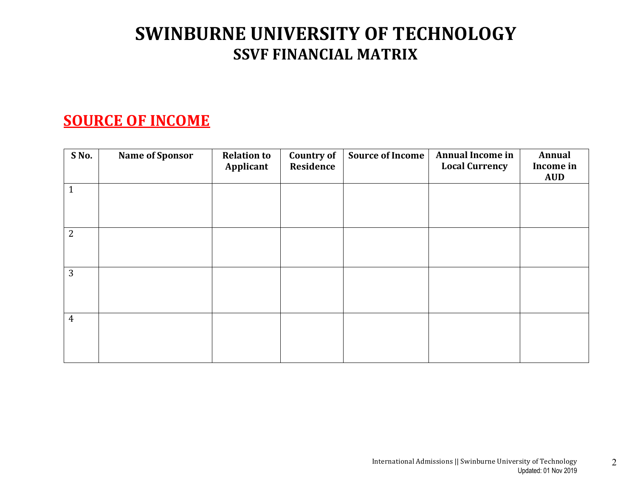#### **SOURCE OF INCOME**

| S No.          | <b>Name of Sponsor</b> | <b>Relation to</b><br>Applicant | <b>Country of</b><br>Residence | <b>Source of Income</b> | Annual Income in<br><b>Local Currency</b> | Annual<br>Income in<br><b>AUD</b> |
|----------------|------------------------|---------------------------------|--------------------------------|-------------------------|-------------------------------------------|-----------------------------------|
| $\mathbf{1}$   |                        |                                 |                                |                         |                                           |                                   |
| 2              |                        |                                 |                                |                         |                                           |                                   |
| 3              |                        |                                 |                                |                         |                                           |                                   |
| $\overline{4}$ |                        |                                 |                                |                         |                                           |                                   |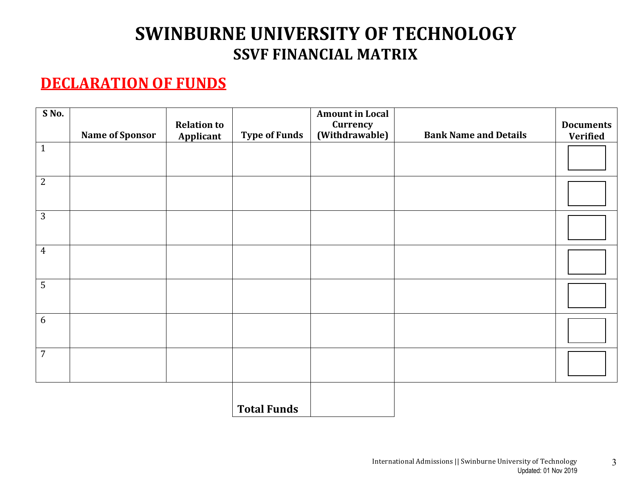#### **DECLARATION OF FUNDS**

| S No.          | <b>Name of Sponsor</b> | <b>Relation to</b><br>Applicant | <b>Type of Funds</b> | <b>Amount in Local</b><br>Currency<br>(Withdrawable) | <b>Bank Name and Details</b> | <b>Documents</b><br><b>Verified</b> |
|----------------|------------------------|---------------------------------|----------------------|------------------------------------------------------|------------------------------|-------------------------------------|
| $\mathbf{1}$   |                        |                                 |                      |                                                      |                              |                                     |
| $\overline{2}$ |                        |                                 |                      |                                                      |                              |                                     |
| $\overline{3}$ |                        |                                 |                      |                                                      |                              |                                     |
| $\overline{4}$ |                        |                                 |                      |                                                      |                              |                                     |
| $\overline{5}$ |                        |                                 |                      |                                                      |                              |                                     |
| $6\,$          |                        |                                 |                      |                                                      |                              |                                     |
| $\overline{7}$ |                        |                                 |                      |                                                      |                              |                                     |
|                |                        |                                 | <b>Total Funds</b>   |                                                      |                              |                                     |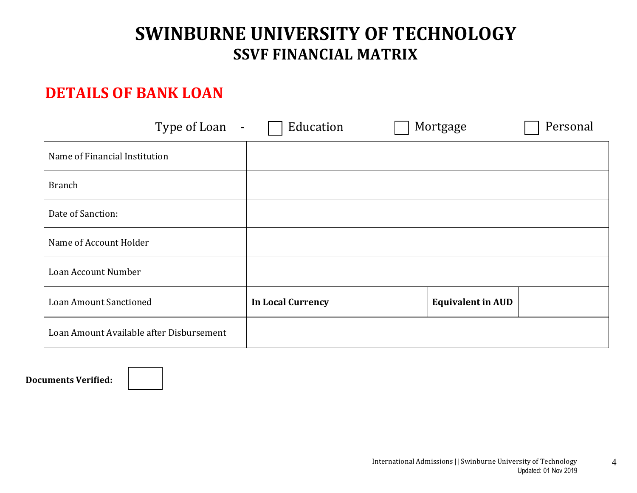#### **DETAILS OF BANK LOAN**

| Type of Loan<br>$\overline{\phantom{a}}$ | Education                | Mortgage | Personal                 |
|------------------------------------------|--------------------------|----------|--------------------------|
| Name of Financial Institution            |                          |          |                          |
| <b>Branch</b>                            |                          |          |                          |
| Date of Sanction:                        |                          |          |                          |
| Name of Account Holder                   |                          |          |                          |
| Loan Account Number                      |                          |          |                          |
| Loan Amount Sanctioned                   | <b>In Local Currency</b> |          | <b>Equivalent in AUD</b> |
| Loan Amount Available after Disbursement |                          |          |                          |

**Documents Verified:**